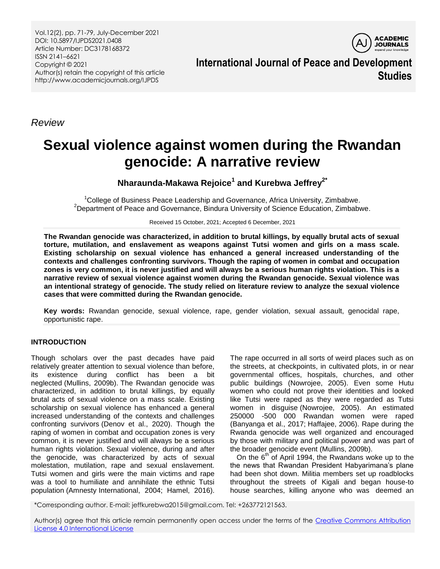Vol.12(2), pp. 71-79, July-December 2021 DOI: 10.5897/IJPDS2021.0408 Article Number: DC3178168372 ISSN 2141–6621 Copyright © 2021 Author(s) retain the copyright of this article http://www.academicjournals.org/IJPDS

**ACADEMIC JOURNALS** 

**International Journal of Peace and Development Studies**

*Review*

# **Sexual violence against women during the Rwandan genocide: A narrative review**

**Nharaunda-Makawa Rejoice<sup>1</sup> and Kurebwa Jeffrey2\***

<sup>1</sup>College of Business Peace Leadership and Governance, Africa University, Zimbabwe. <sup>2</sup>Department of Peace and Governance, Bindura University of Science Education, Zimbabwe.

Received 15 October, 2021; Accepted 6 December, 2021

**The Rwandan genocide was characterized, in addition to brutal killings, by equally brutal acts of sexual torture, mutilation, and enslavement as weapons against Tutsi women and girls on a mass scale. Existing scholarship on sexual violence has enhanced a general increased understanding of the contexts and challenges confronting survivors. Though the raping of women in combat and occupation zones is very common, it is never justified and will always be a serious human rights violation. This is a narrative review of sexual violence against women during the Rwandan genocide. Sexual violence was an intentional strategy of genocide. The study relied on literature review to analyze the sexual violence cases that were committed during the Rwandan genocide.**

**Key words:** Rwandan genocide, sexual violence, rape, gender violation, sexual assault, genocidal rape, opportunistic rape.

## **INTRODUCTION**

Though scholars over the past decades have paid relatively greater attention to sexual violence than before, its existence during conflict has been a bit neglected (Mullins, 2009b). The Rwandan genocide was characterized, in addition to brutal killings, by equally brutal acts of sexual violence on a mass scale. Existing scholarship on sexual violence has enhanced a general increased understanding of the contexts and challenges confronting survivors (Denov et al., 2020). Though the raping of women in combat and occupation zones is very common, it is never justified and will always be a serious human rights violation. Sexual violence, during and after the genocide, was characterized by acts of sexual molestation, mutilation, rape and sexual enslavement. Tutsi women and girls were the main victims and rape was a tool to humiliate and annihilate the ethnic Tutsi population (Amnesty International, 2004; Hamel, 2016).

The rape occurred in all sorts of weird places such as on the streets, at checkpoints, in cultivated plots, in or near governmental offices, hospitals, churches, and other public buildings (Nowrojee, 2005). Even some Hutu women who could not prove their identities and looked like Tutsi were raped as they were regarded as Tutsi women in disguise (Nowrojee, 2005). An estimated 250000 -500 000 Rwandan women were raped (Banyanga et al., 2017; Haffajee, 2006). Rape during the Rwanda genocide was well organized and encouraged by those with military and political power and was part of the broader genocide event (Mullins, 2009b).

On the  $6<sup>th</sup>$  of April 1994, the Rwandans woke up to the the news that Rwandan President Habyarimana"s plane had been shot down. Militia members set up roadblocks throughout the streets of Kigali and began house-to house searches, killing anyone who was deemed an

\*Corresponding author. E-mail: jeffkurebwa2015@gmail.com. Tel: +263772121563.

Author(s) agree that this article remain permanently open access under the terms of the Creative Commons Attribution [License 4.0 International License](http://creativecommons.org/licenses/by/4.0/deed.en_US)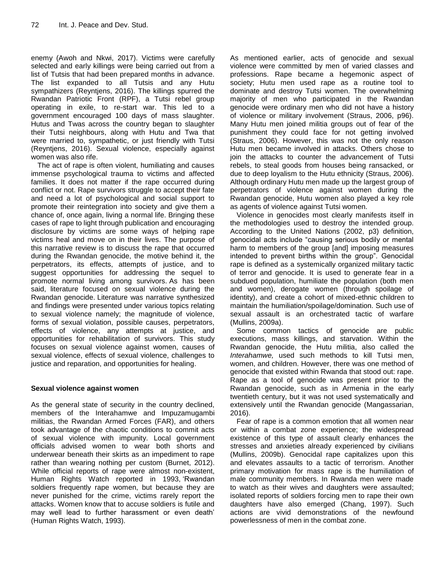enemy (Awoh and Nkwi, 2017). Victims were carefully selected and early killings were being carried out from a list of Tutsis that had been prepared months in advance. The list expanded to all Tutsis and any Hutu sympathizers (Reyntjens, 2016). The killings spurred the Rwandan Patriotic Front (RPF), a Tutsi rebel group operating in exile, to re-start war. This led to a government encouraged 100 days of mass slaughter. Hutus and Twas across the country began to slaughter their Tutsi neighbours, along with Hutu and Twa that were married to, sympathetic, or just friendly with Tutsi (Reyntjens, 2016). Sexual violence, especially against women was also rife.

The act of rape is often violent, humiliating and causes immense psychological trauma to victims and affected families. It does not matter if the rape occurred during conflict or not. Rape survivors struggle to accept their fate and need a lot of psychological and social support to promote their reintegration into society and give them a chance of, once again, living a normal life. Bringing these cases of rape to light through publication and encouraging disclosure by victims are some ways of helping rape victims heal and move on in their lives. The purpose of this narrative review is to discuss the rape that occurred during the Rwandan genocide, the motive behind it, the perpetrators, its effects, attempts of justice, and to suggest opportunities for addressing the sequel to promote normal living among survivors. As has been said, literature focused on sexual violence during the Rwandan genocide. Literature was narrative synthesized and findings were presented under various topics relating to sexual violence namely; the magnitude of violence, forms of sexual violation, possible causes, perpetrators, effects of violence, any attempts at justice, and opportunities for rehabilitation of survivors. This study focuses on sexual violence against women, causes of sexual violence, effects of sexual violence, challenges to justice and reparation, and opportunities for healing.

## **Sexual violence against women**

As the general state of security in the country declined, members of the Interahamwe and Impuzamugambi militias, the Rwandan Armed Forces (FAR), and others took advantage of the chaotic conditions to commit acts of sexual violence with impunity. Local government officials advised women to wear both shorts and underwear beneath their skirts as an impediment to rape rather than wearing nothing per custom (Burnet, 2012). While official reports of rape were almost non-existent, Human Rights Watch reported in 1993, "Rwandan soldiers frequently rape women, but because they are never punished for the crime, victims rarely report the attacks. Women know that to accuse soldiers is futile and may well lead to further harassment or even death" (Human Rights Watch, 1993).

As mentioned earlier, acts of genocide and sexual violence were committed by men of varied classes and professions. Rape became a hegemonic aspect of society; Hutu men used rape as a routine tool to dominate and destroy Tutsi women. The overwhelming majority of men who participated in the Rwandan genocide were ordinary men who did not have a history of violence or military involvement (Straus, 2006, p96). Many Hutu men joined militia groups out of fear of the punishment they could face for not getting involved (Straus, 2006). However, this was not the only reason Hutu men became involved in attacks. Others chose to join the attacks to counter the advancement of Tutsi rebels, to steal goods from houses being ransacked, or due to deep loyalism to the Hutu ethnicity (Straus, 2006). Although ordinary Hutu men made up the largest group of perpetrators of violence against women during the Rwandan genocide, Hutu women also played a key role as agents of violence against Tutsi women.

Violence in genocides most clearly manifests itself in the methodologies used to destroy the intended group. According to the United Nations (2002, p3) definition, genocidal acts include "causing serious bodily or mental harm to members of the group [and] imposing measures intended to prevent births within the group". Genocidal rape is defined as a systemically organized military tactic of terror and genocide. It is used to generate fear in a subdued population, humiliate the population (both men and women), derogate women (through spoilage of identity), and create a cohort of mixed-ethnic children to maintain the humiliation/spoilage/domination. Such use of sexual assault is an orchestrated tactic of warfare (Mullins, 2009a).

Some common tactics of genocide are public executions, mass killings, and starvation. Within the Rwandan genocide, the Hutu militia, also called the *Interahamwe,* used such methods to kill Tutsi men, women, and children. However, there was one method of genocide that existed within Rwanda that stood out: rape. Rape as a tool of genocide was present prior to the Rwandan genocide, such as in Armenia in the early twentieth century, but it was not used systematically and extensively until the Rwandan genocide (Mangassarian, 2016).

Fear of rape is a common emotion that all women near or within a combat zone experience; the widespread existence of this type of assault clearly enhances the stresses and anxieties already experienced by civilians (Mullins, 2009b). Genocidal rape capitalizes upon this and elevates assaults to a tactic of terrorism. Another primary motivation for mass rape is the humiliation of male community members. In Rwanda men were made to watch as their wives and daughters were assaulted; isolated reports of soldiers forcing men to rape their own daughters have also emerged (Chang, 1997). Such actions are vivid demonstrations of the newfound powerlessness of men in the combat zone.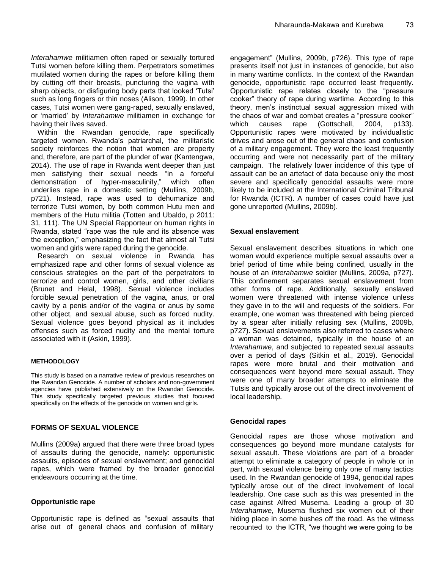*Interahamwe* militiamen often raped or sexually tortured Tutsi women before killing them. Perpetrators sometimes mutilated women during the rapes or before killing them by cutting off their breasts, puncturing the vagina with sharp objects, or disfiguring body parts that looked "Tutsi" such as long fingers or thin noses (Alison, 1999). In other cases, Tutsi women were gang-raped, sexually enslaved, or "married" by *Interahamwe* militiamen in exchange for having their lives saved.

Within the Rwandan genocide, rape specifically targeted women. Rwanda"s patriarchal, the militaristic society reinforces the notion that women are property and, therefore, are part of the plunder of war (Kantengwa, 2014). The use of rape in Rwanda went deeper than just men satisfying their sexual needs "in a forceful demonstration of hyper-masculinity," which often underlies rape in a domestic setting (Mullins, 2009b, p721). Instead, rape was used to dehumanize and terrorize Tutsi women, by both common Hutu men and members of the Hutu militia (Totten and Ubaldo, p 2011: 31, 111). The UN Special Rapporteur on human rights in Rwanda, stated "rape was the rule and its absence was the exception," emphasizing the fact that almost all Tutsi women and girls were raped during the genocide.

Research on sexual violence in Rwanda has emphasized rape and other forms of sexual violence as conscious strategies on the part of the perpetrators to terrorize and control women, girls, and other civilians (Brunet and Helal, 1998). Sexual violence includes forcible sexual penetration of the vagina, anus, or oral cavity by a penis and/or of the vagina or anus by some other object, and sexual abuse, such as forced nudity. Sexual violence goes beyond physical as it includes offenses such as forced nudity and the mental torture associated with it (Askin, 1999).

#### **METHODOLOGY**

This study is based on a narrative review of previous researches on the Rwandan Genocide. A number of scholars and non-government agencies have published extensively on the Rwandan Genocide. This study specifically targeted previous studies that focused specifically on the effects of the genocide on women and girls.

#### **FORMS OF SEXUAL VIOLENCE**

Mullins (2009a) argued that there were three broad types of assaults during the genocide, namely: opportunistic assaults, episodes of sexual enslavement; and genocidal rapes, which were framed by the broader genocidal endeavours occurring at the time.

#### **Opportunistic rape**

Opportunistic rape is defined as "sexual assaults that arise out of general chaos and confusion of military

engagement" (Mullins, 2009b, p726). This type of rape presents itself not just in instances of genocide, but also in many wartime conflicts. In the context of the Rwandan genocide, opportunistic rape occurred least frequently. Opportunistic rape relates closely to the "pressure cooker" theory of rape during wartime. According to this theory, men"s instinctual sexual aggression mixed with the chaos of war and combat creates a "pressure cooker" which causes rape (Gottschall, 2004, p133). Opportunistic rapes were motivated by individualistic drives and arose out of the general chaos and confusion of a military engagement. They were the least frequently occurring and were not necessarily part of the military campaign. The relatively lower incidence of this type of assault can be an artefact of data because only the most severe and specifically genocidal assaults were more likely to be included at the International Criminal Tribunal for Rwanda (ICTR). A number of cases could have just gone unreported (Mullins, 2009b).

#### **Sexual enslavement**

Sexual enslavement describes situations in which one woman would experience multiple sexual assaults over a brief period of time while being confined, usually in the house of an *Interahamwe* soldier (Mullins, 2009a, p727). This confinement separates sexual enslavement from other forms of rape. Additionally, sexually enslaved women were threatened with intense violence unless they gave in to the will and requests of the soldiers. For example, one woman was threatened with being pierced by a spear after initially refusing sex (Mullins, 2009b, p727). Sexual enslavements also referred to cases where a woman was detained, typically in the house of an *Interahamwe*, and subjected to repeated sexual assaults over a period of days (Sitkin et al., 2019). Genocidal rapes were more brutal and their motivation and consequences went beyond mere sexual assault. They were one of many broader attempts to eliminate the Tutsis and typically arose out of the direct involvement of local leadership.

#### **Genocidal rapes**

Genocidal rapes are those whose motivation and consequences go beyond more mundane catalysts for sexual assault. These violations are part of a broader attempt to eliminate a category of people in whole or in part, with sexual violence being only one of many tactics used. In the Rwandan genocide of 1994, genocidal rapes typically arose out of the direct involvement of local leadership. One case such as this was presented in the case against Alfred Musema. Leading a group of 30 *Interahamwe*, Musema flushed six women out of their hiding place in some bushes off the road. As the witness recounted to the ICTR, "we thought we were going to be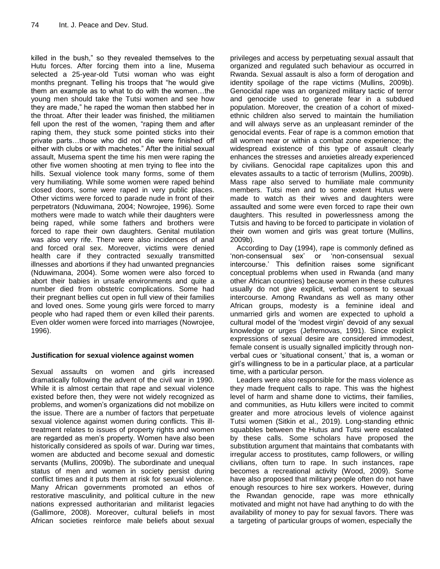killed in the bush," so they revealed themselves to the Hutu forces. After forcing them into a line, Musema selected a 25-year-old Tutsi woman who was eight months pregnant. Telling his troops that "he would give them an example as to what to do with the women…the young men should take the Tutsi women and see how they are made," he raped the woman then stabbed her in the throat. After their leader was finished, the militiamen fell upon the rest of the women, "raping them and after raping them, they stuck some pointed sticks into their private parts…those who did not die were finished off either with clubs or with machetes." After the initial sexual assault, Musema spent the time his men were raping the other five women shooting at men trying to flee into the hills. Sexual violence took many forms, some of them very humiliating. While some women were raped behind closed doors, some were raped in very public places. Other victims were forced to parade nude in front of their perpetrators (Nduwimana, 2004; Nowrojee, 1996). Some mothers were made to watch while their daughters were being raped, while some fathers and brothers were forced to rape their own daughters. Genital mutilation was also very rife. There were also incidences of anal and forced oral sex. Moreover, victims were denied health care if they contracted sexually transmitted illnesses and abortions if they had unwanted pregnancies (Nduwimana, 2004). Some women were also forced to abort their babies in unsafe environments and quite a number died from obstetric complications. Some had their pregnant bellies cut open in full view of their families and loved ones. Some young girls were forced to marry people who had raped them or even killed their parents. Even older women were forced into marriages (Nowrojee, 1996).

## **Justification for sexual violence against women**

Sexual assaults on women and girls increased dramatically following the advent of the civil war in 1990. While it is almost certain that rape and sexual violence existed before then, they were not widely recognized as problems, and women"s organizations did not mobilize on the issue. There are a number of factors that perpetuate sexual violence against women during conflicts. This illtreatment relates to issues of property rights and women are regarded as men"s property. Women have also been historically considered as spoils of war. During war times, women are abducted and become sexual and domestic servants (Mullins, 2009b). The subordinate and unequal status of men and women in society persist during conflict times and it puts them at risk for sexual violence. Many African governments promoted an ethos of restorative masculinity, and political culture in the new nations expressed authoritarian and militarist legacies (Gallimore, 2008). Moreover, cultural beliefs in most African societies reinforce male beliefs about sexual

privileges and access by perpetuating sexual assault that organized and regulated such behaviour as occurred in Rwanda. Sexual assault is also a form of derogation and identity spoilage of the rape victims (Mullins, 2009b). Genocidal rape was an organized military tactic of terror and genocide used to generate fear in a subdued population. Moreover, the creation of a cohort of mixedethnic children also served to maintain the humiliation and will always serve as an unpleasant reminder of the genocidal events. Fear of rape is a common emotion that all women near or within a combat zone experience; the widespread existence of this type of assault clearly enhances the stresses and anxieties already experienced by civilians. Genocidal rape capitalizes upon this and elevates assaults to a tactic of terrorism (Mullins, 2009b). Mass rape also served to humiliate male community members. Tutsi men and to some extent Hutus were made to watch as their wives and daughters were assaulted and some were even forced to rape their own daughters. This resulted in powerlessness among the Tutsis and having to be forced to participate in violation of their own women and girls was great torture (Mullins, 2009b).

According to Day (1994), rape is commonly defined as "non-consensual sex" or "non-consensual sexual intercourse." This definition raises some significant conceptual problems when used in Rwanda (and many other African countries) because women in these cultures usually do not give explicit, verbal consent to sexual intercourse. Among Rwandans as well as many other African groups, modesty is a feminine ideal and unmarried girls and women are expected to uphold a cultural model of the "modest virgin" devoid of any sexual knowledge or urges (Jefremovas, 1991). Since explicit expressions of sexual desire are considered immodest, female consent is usually signalled implicitly through nonverbal cues or 'situational consent,' that is, a woman or girl"s willingness to be in a particular place, at a particular time, with a particular person.

Leaders were also responsible for the mass violence as they made frequent calls to rape. This was the highest level of harm and shame done to victims, their families, and communities, as Hutu killers were incited to commit greater and more atrocious levels of violence against Tutsi women (Sitkin et al., 2019). Long-standing ethnic squabbles between the Hutus and Tutsi were escalated by these calls. Some scholars have proposed the substitution argument that maintains that combatants with irregular access to prostitutes, camp followers, or willing civilians, often turn to rape. In such instances, rape becomes a recreational activity (Wood, 2009). Some have also proposed that military people often do not have enough resources to hire sex workers. However, during the Rwandan genocide, rape was more ethnically motivated and might not have had anything to do with the availability of money to pay for sexual favors. There was a targeting of particular groups of women, especially the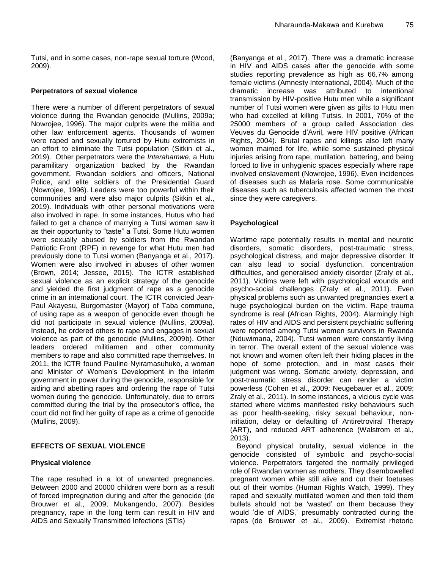Tutsi, and in some cases, non-rape sexual torture (Wood, 2009).

#### **Perpetrators of sexual violence**

There were a number of different perpetrators of sexual violence during the Rwandan genocide (Mullins, 2009a; Nowrojee, 1996). The major culprits were the militia and other law enforcement agents. Thousands of women were raped and sexually tortured by Hutu extremists in an effort to eliminate the Tutsi population (Sitkin et al., 2019). Other perpetrators were the *Interahamwe*, a Hutu paramilitary organization backed by the Rwandan government, Rwandan soldiers and officers, National Police, and elite soldiers of the Presidential Guard (Nowrojee, 1996). Leaders were too powerful within their communities and were also major culprits (Sitkin et al., 2019). Individuals with other personal motivations were also involved in rape. In some instances, Hutus who had failed to get a chance of marrying a Tutsi woman saw it as their opportunity to "taste" a Tutsi. Some Hutu women were sexually abused by soldiers from the Rwandan Patriotic Front (RPF) in revenge for what Hutu men had previously done to Tutsi women (Banyanga et al., 2017). Women were also involved in abuses of other women (Brown, 2014; Jessee, 2015). The ICTR established sexual violence as an explicit strategy of the genocide and yielded the first judgment of rape as a genocide crime in an international court. The ICTR convicted Jean-Paul Akayesu, Burgomaster (Mayor) of Taba commune, of using rape as a weapon of genocide even though he did not participate in sexual violence (Mullins, 2009a). Instead, he ordered others to rape and engages in sexual violence as part of the genocide (Mullins, 2009b). Other leaders ordered militiamen and other community members to rape and also committed rape themselves. In 2011, the ICTR found Pauline Nyiramasuhuko, a woman and Minister of Women"s Development in the interim government in power during the genocide, responsible for aiding and abetting rapes and ordering the rape of Tutsi women during the genocide. Unfortunately, due to errors committed during the trial by the prosecutor"s office, the court did not find her guilty of rape as a crime of genocide (Mullins, 2009).

## **EFFECTS OF SEXUAL VIOLENCE**

## **Physical violence**

The rape resulted in a lot of unwanted pregnancies. Between 2000 and 20000 children were born as a result of forced impregnation during and after the genocide (de Brouwer et al., 2009; Mukangendo, 2007). Besides pregnancy, rape in the long term can result in HIV and AIDS and Sexually Transmitted Infections (STIs)

(Banyanga et al., 2017). There was a dramatic increase in HIV and AIDS cases after the genocide with some studies reporting prevalence as high as 66.7% among female victims (Amnesty International, 2004). Much of the dramatic increase was attributed to intentional transmission by HIV-positive Hutu men while a significant number of Tutsi women were given as gifts to Hutu men who had excelled at killing Tutsis. In 2001, 70% of the 25000 members of a group called Association des Veuves du Genocide d"Avril, were HIV positive (African Rights, 2004). Brutal rapes and killings also left many women maimed for life, while some sustained physical injuries arising from rape, mutilation, battering, and being forced to live in unhygienic spaces especially where rape involved enslavement (Nowrojee, 1996). Even incidences of diseases such as Malaria rose. Some communicable diseases such as tuberculosis affected women the most since they were caregivers.

## **Psychological**

Wartime rape potentially results in mental and neurotic disorders, somatic disorders, post-traumatic stress, psychological distress, and major depressive disorder. It can also lead to social dysfunction, concentration difficulties, and generalised anxiety disorder (Zraly et al., 2011). Victims were left with psychological wounds and psycho-social challenges (Zraly et al., 2011). Even physical problems such as unwanted pregnancies exert a huge psychological burden on the victim. Rape trauma syndrome is real (African Rights, 2004). Alarmingly high rates of HIV and AIDS and persistent psychiatric suffering were reported among Tutsi women survivors in Rwanda (Nduwimana, 2004). Tutsi women were constantly living in terror. The overall extent of the sexual violence was not known and women often left their hiding places in the hope of some protection, and in most cases their judgment was wrong. Somatic anxiety, depression, and post-traumatic stress disorder can render a victim powerless (Cohen et al., 2009; Neugebauer et al., 2009; Zraly et al., 2011). In some instances, a vicious cycle was started where victims manifested risky behaviours such as poor health-seeking, risky sexual behaviour, noninitiation, delay or defaulting of Antiretroviral Therapy (ART), and reduced ART adherence (Walstrom et al., 2013).

Beyond physical brutality, sexual violence in the genocide consisted of symbolic and psycho-social violence. Perpetrators targeted the normally privileged role of Rwandan women as mothers. They disembowelled pregnant women while still alive and cut their foetuses out of their wombs (Human Rights Watch, 1999). They raped and sexually mutilated women and then told them bullets should not be "wasted" on them because they would "die of AIDS," presumably contracted during the rapes (de Brouwer et al., 2009). Extremist rhetoric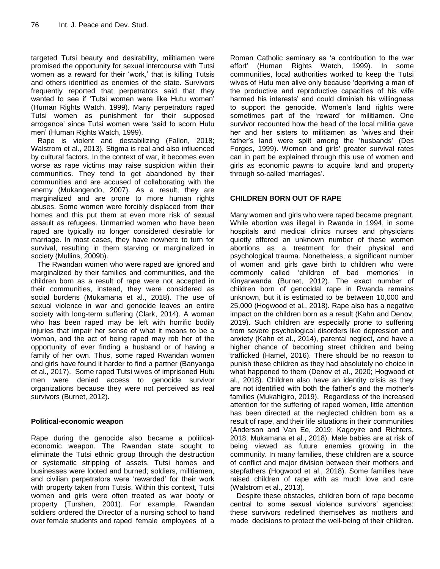targeted Tutsi beauty and desirability, militiamen were promised the opportunity for sexual intercourse with Tutsi women as a reward for their 'work,' that is killing Tutsis and others identified as enemies of the state. Survivors frequently reported that perpetrators said that they wanted to see if "Tutsi women were like Hutu women" (Human Rights Watch, 1999). Many perpetrators raped Tutsi women as punishment for "their supposed arrogance" since Tutsi women were "said to scorn Hutu men" (Human Rights Watch, 1999).

Rape is violent and destabilizing (Fallon, 2018; Walstrom et al., 2013). Stigma is real and also influenced by cultural factors. In the context of war, it becomes even worse as rape victims may raise suspicion within their communities. They tend to get abandoned by their communities and are accused of collaborating with the enemy (Mukangendo, 2007). As a result, they are marginalized and are prone to more human rights abuses. Some women were forcibly displaced from their homes and this put them at even more risk of sexual assault as refugees. Unmarried women who have been raped are typically no longer considered desirable for marriage. In most cases, they have nowhere to turn for survival, resulting in them starving or marginalized in society (Mullins, 2009b).

The Rwandan women who were raped are ignored and marginalized by their families and communities, and the children born as a result of rape were not accepted in their communities, instead, they were considered as social burdens (Mukamana et al., 2018). The use of sexual violence in war and genocide leaves an entire society with long-term suffering (Clark, 2014). A woman who has been raped may be left with horrific bodily injuries that impair her sense of what it means to be a woman, and the act of being raped may rob her of the opportunity of ever finding a husband or of having a family of her own. Thus, some raped Rwandan women and girls have found it harder to find a partner (Banyanga et al., 2017). Some raped Tutsi wives of imprisoned Hutu men were denied access to genocide survivor organizations because they were not perceived as real survivors (Burnet, 2012).

## **Political-economic weapon**

Rape during the genocide also became a politicaleconomic weapon. The Rwandan state sought to eliminate the Tutsi ethnic group through the destruction or systematic stripping of assets. Tutsi homes and businesses were looted and burned; soldiers, militiamen, and civilian perpetrators were "rewarded" for their work with property taken from Tutsis. Within this context, Tutsi women and girls were often treated as war booty or property (Turshen, 2001). For example, Rwandan soldiers ordered the Director of a nursing school to hand over female students and raped female employees of a Roman Catholic seminary as "a contribution to the war effort" (Human Rights Watch, 1999). In some communities, local authorities worked to keep the Tutsi wives of Hutu men alive only because "depriving a man of the productive and reproductive capacities of his wife harmed his interests' and could diminish his willingness to support the genocide. Women"s land rights were sometimes part of the 'reward' for militiamen. One survivor recounted how the head of the local militia gave her and her sisters to militiamen as "wives and their father"s land were split among the "husbands" (Des Forges, 1999). Women and girls' greater survival rates can in part be explained through this use of women and girls as economic pawns to acquire land and property through so-called 'marriages'.

## **CHILDREN BORN OUT OF RAPE**

Many women and girls who were raped became pregnant. While abortion was illegal in Rwanda in 1994, in some hospitals and medical clinics nurses and physicians quietly offered an unknown number of these women abortions as a treatment for their physical and psychological trauma. Nonetheless, a significant number of women and girls gave birth to children who were commonly called 'children of bad memories' in Kinyarwanda (Burnet, 2012). The exact number of children born of genocidal rape in Rwanda remains unknown, but it is estimated to be between 10,000 and 25,000 (Hogwood et al., 2018). Rape also has a negative impact on the children born as a result (Kahn and Denov, 2019). Such children are especially prone to suffering from severe psychological disorders like depression and anxiety (Kahn et al., 2014), parental neglect, and have a higher chance of becoming street children and being trafficked (Hamel, 2016). There should be no reason to punish these children as they had absolutely no choice in what happened to them (Denov et al., 2020; Hogwood et al., 2018). Children also have an identity crisis as they are not identified with both the father"s and the mother"s families (Mukahigiro, 2019). Regardless of the increased attention for the suffering of raped women, little attention has been directed at the neglected children born as a result of rape, and their life situations in their communities (Anderson and Van Ee, 2019; Kagoyire and Richters, 2018; Mukamana et al., 2018). Male babies are at risk of being viewed as future enemies growing in the community. In many families, these children are a source of conflict and major division between their mothers and stepfathers (Hogwood et al., 2018). Some families have raised children of rape with as much love and care (Walstrom et al., 2013).

Despite these obstacles, children born of rape become central to some sexual violence survivors' agencies: these survivors redefined themselves as mothers and made decisions to protect the well-being of their children.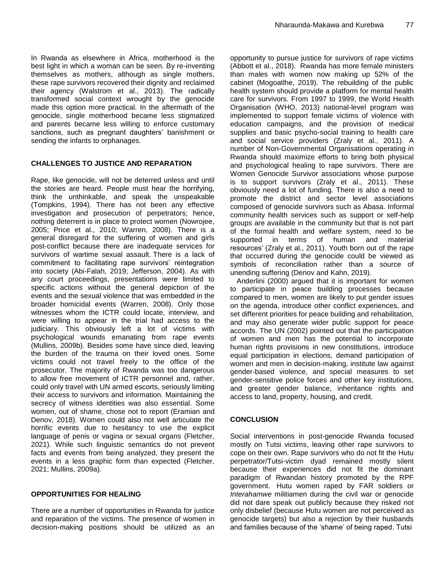In Rwanda as elsewhere in Africa, motherhood is the best light in which a woman can be seen. By re-inventing themselves as mothers, although as single mothers, these rape survivors recovered their dignity and reclaimed their agency (Walstrom et al., 2013). The radically transformed social context wrought by the genocide made this option more practical. In the aftermath of the genocide, single motherhood became less stigmatized and parents became less willing to enforce customary sanctions, such as pregnant daughters' banishment or sending the infants to orphanages.

## **CHALLENGES TO JUSTICE AND REPARATION**

Rape, like genocide, will not be deterred unless and until the stories are heard. People must hear the horrifying, think the unthinkable, and speak the unspeakable (Tompkins, 1994). There has not been any effective investigation and prosecution of perpetrators; hence, nothing deterrent is in place to protect women (Nowrojee, 2005; Price et al., 2010; Warren, 2008). There is a general disregard for the suffering of women and girls post-conflict because there are inadequate services for survivors of wartime sexual assault. There is a lack of commitment to facilitating rape survivors' reintegration into society (Abi-Falah, 2019; Jefferson, 2004). As with any court proceedings, presentations were limited to specific actions without the general depiction of the events and the sexual violence that was embedded in the broader homicidal events (Warren, 2008). Only those witnesses whom the ICTR could locate, interview, and were willing to appear in the trial had access to the judiciary. This obviously left a lot of victims with psychological wounds emanating from rape events (Mullins, 2009b). Besides some have since died, leaving the burden of the trauma on their loved ones. Some victims could not travel freely to the office of the prosecutor. The majority of Rwanda was too dangerous to allow free movement of ICTR personnel and, rather, could only travel with UN armed escorts, seriously limiting their access to survivors and information. Maintaining the secrecy of witness identities was also essential. Some women, out of shame, chose not to report (Eramian and Denov, 2018). Women could also not well articulate the horrific events due to hesitancy to use the explicit language of penis or vagina or sexual organs (Fletcher, 2021). While such linguistic semantics do not prevent facts and events from being analyzed, they present the events in a less graphic form than expected (Fletcher, 2021; Mullins, 2009a).

## **OPPORTUNITIES FOR HEALING**

There are a number of opportunities in Rwanda for justice and reparation of the victims. The presence of women in decision-making positions should be utilized as an opportunity to pursue justice for survivors of rape victims (Abbott et al., 2018). Rwanda has more female ministers than males with women now making up 52% of the cabinet (Mogoatlhe, 2019). The rebuilding of the public health system should provide a platform for mental health care for survivors. From 1997 to 1999, the World Health Organisation (WHO, 2013) national-level program was implemented to support female victims of violence with education campaigns, and the provision of medical supplies and basic psycho-social training to health care and social service providers (Zraly et al., 2011). A number of Non-Governmental Organisations operating in Rwanda should maximize efforts to bring both physical and psychological healing to rape survivors. There are Women Genocide Survivor associations whose purpose is to support survivors (Zraly et al., 2011). These obviously need a lot of funding. There is also a need to promote the district and sector level associations composed of genocide survivors such as Abasa. Informal community health services such as support or self-help groups are available in the community but that is not part of the formal health and welfare system, need to be supported in terms of human and material resources" (Zraly et al., 2011). Youth born out of the rape that occurred during the genocide could be viewed as symbols of reconciliation rather than a source of unending suffering (Denov and Kahn, 2019).

Anderlini (2000) argued that it is important for women to participate in peace building processes because compared to men, women are likely to put gender issues on the agenda, introduce other conflict experiences, and set different priorities for peace building and rehabilitation, and may also generate wider public support for peace accords. The UN (2002) pointed out that the participation of women and men has the potential to incorporate human rights provisions in new constitutions, introduce equal participation in elections, demand participation of women and men in decision-making, institute law against gender-based violence, and special measures to set gender-sensitive police forces and other key institutions, and greater gender balance, inheritance rights and access to land, property, housing, and credit.

## **CONCLUSION**

Social interventions in post-genocide Rwanda focused mostly on Tutsi victims, leaving other rape survivors to cope on their own. Rape survivors who do not fit the Hutu perpetrator/Tutsi-victim dyad remained mostly silent because their experiences did not fit the dominant paradigm of Rwandan history promoted by the RPF government. Hutu women raped by FAR soldiers or *Interahamwe* militiamen during the civil war or genocide did not dare speak out publicly because they risked not only disbelief (because Hutu women are not perceived as genocide targets) but also a rejection by their husbands and families because of the "shame" of being raped. Tutsi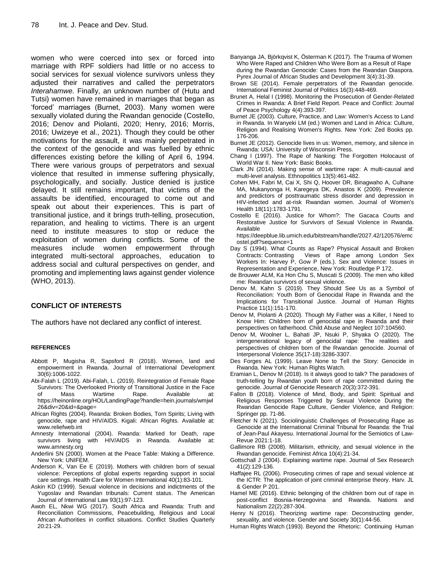women who were coerced into sex or forced into marriage with RPF soldiers had little or no access to social services for sexual violence survivors unless they adjusted their narratives and called the perpetrators *Interahamwe.* Finally, an unknown number of (Hutu and Tutsi) women have remained in marriages that began as "forced" marriages (Burnet, 2003). Many women were sexually violated during the Rwandan genocide (Costello, 2016; Denov and Piolanti, 2020; Henry, 2016; Morris, 2016; Uwizeye et al., 2021). Though they could be other motivations for the assault, it was mainly perpetrated in the context of the genocide and was fuelled by ethnic differences existing before the killing of April 6, 1994. There were various groups of perpetrators and sexual violence that resulted in immense suffering physically, psychologically, and socially. Justice denied is justice delayed. It still remains important, that victims of the assaults be identified, encouraged to come out and speak out about their experiences. This is part of transitional justice, and it brings truth-telling, prosecution, reparation, and healing to victims. There is an urgent need to institute measures to stop or reduce the exploitation of women during conflicts. Some of the measures include women empowerment through integrated multi-sectoral approaches, education to address social and cultural perspectives on gender, and promoting and implementing laws against gender violence (WHO, 2013).

## **CONFLICT OF INTERESTS**

The authors have not declared any conflict of interest.

#### **REFERENCES**

- Abbott P, Mugisha R, Sapsford R (2018). Women, land and empowerment in Rwanda. Journal of International Development 30(6):1006-1022.
- Abi-Falah L (2019). Abi-Falah, L. (2019). Reintegration of Female Rape Survivors: The Overlooked Priority of Transitional Justice in the Face of Mass Wartime Rape. Available at: https://heinonline.org/HOL/LandingPage?handle=hein.journals/wmjwl 26&div=20&id=&page=
- African Rights (2004). Rwanda: Broken Bodies, Torn Spirits; Living with genocide, rape and HIV/AIDS. Kigali: African Rights. Available at: [www.reliefweb.int](file://192.168.1.30/all%20operations/OTHERS%20JOURNALS%20DATA/IJPDS/PUB%20PROCESS/PDF/2021/IJPDS-15.10.21-0408/Publication/www.reliefweb.int)
- Amnesty International (2004). Rwanda: Marked for Death, rape survivors living with HIV/AIDS in Rwanda. Available at: [www.amnesty.org](file://192.168.1.30/all%20operations/OTHERS%20JOURNALS%20DATA/IJPDS/PUB%20PROCESS/PDF/2021/IJPDS-15.10.21-0408/Publication/www.amnesty.org)
- Anderlini SN (2000). Women at the Peace Table: Making a Difference. New York: UNIFEM.
- Anderson K, Van Ee E (2019). Mothers with children born of sexual violence: Perceptions of global experts regarding support in social care settings. Health Care for Women International 40(1):83-101.
- Askin KD (1999). Sexual violence in decisions and indictments of the Yugoslav and Rwandan tribunals: Current status. The American Journal of International Law 93(1):97-123.
- Awoh EL, Nkwi WG (2017). South Africa and Rwanda: Truth and Reconciliation Commissions, Peacebuilding, Religious and Local African Authorities in conflict situations. Conflict Studies Quarterly 20:21-29.
- Banyanga JA, Björkqvist K, Österman K (2017). The Trauma of Women Who Were Raped and Children Who Were Born as a Result of Rape during the Rwandan Genocide: Cases from the Rwandan Diaspora. Pyrex Journal of African Studies and Development 3(4):31-39.
- Brown SE (2014). Female perpetrators of the Rwandan genocide. International Feminist Journal of Politics 16(3):448-469.
- Brunet A, Helal I (1998). Monitoring the Prosecution of Gender-Related Crimes in Rwanda: A Brief Field Report. Peace and Conflict: Journal of Peace Psychology 4(4):393-397.
- Burnet JE (2003). Culture, Practice, and Law: Women's Access to Land in Rwanda. In Wanyeki LM (ed.) Women and Land in Africa: Culture, Religion and Realising Women's Rights. New York: Zed Books pp. 176-206.
- Burnet JE (2012). Genocide lives in us: Women, memory, and silence in Rwanda: USA: University of Wisconsin Press.
- Chang I (1997). The Rape of Nanking: The Forgotten Holocaust of World War II. New York: Basic Books.
- Clark JN (2014). Making sense of wartime rape: A multi-causal and multi-level analysis. Ethnopolitics 13(5):461-482.
- Cohen MH, Fabri M, Cai X, Shi Q, Hoover DR, Binagwaho A, Culhane MA, Mukanyonga H, Karegeya DK, Anastos K (2009). Prevalence and predictors of posttraumatic stress disorder and depression in HIV-infected and at-risk Rwandan women. Journal of Women's Health 18(11):1783-1791.
- Costello E (2016). Justice for Whom?: The Gacaca Courts and Restorative Justice for Survivors of Sexual Violence in Rwanda. Available at:
- https://deepblue.lib.umich.edu/bitstream/handle/2027.42/120576/emc ostel.pdf?sequence=1
- Day S (1994). What Counts as Rape? Physical Assault and Broken Contracts: Contrasting Views of Rape among London Sex Workers In: Harvey P, Gow P (eds.). Sex and Violence: Issues in Representation and Experience, New York: Routledge P 172.
- de Brouwer ALM, Ka Hon Chu S, Muscati S (2009). The men who killed me: Rwandan survivors of sexual violence.
- Denov M, Kahn S (2019). They Should See Us as a Symbol of Reconciliation: Youth Born of Genocidal Rape in Rwanda and the Implications for Transitional Justice. Journal of Human Rights Practice 11(1):151-170.
- Denov M, Piolanti A (2020). Though My Father was a Killer, I Need to Know Him: Children born of genocidal rape in Rwanda and their perspectives on fatherhood. Child Abuse and Neglect 107:104560.
- Denov M, Woolner L, Bahati JP, Nsuki P, Shyaka O (2020). The intergenerational legacy of genocidal rape: The realities and perspectives of children born of the Rwandan genocide. Journal of Interpersonal Violence 35(17-18):3286-3307.
- Des Forges AL (1999). Leave None to Tell the Story: Genocide in Rwanda. New York: Human Rights Watch.
- Eramian L, Denov M (2018). Is it always good to talk? The paradoxes of truth-telling by Rwandan youth born of rape committed during the genocide. Journal of Genocide Research 20(3):372-391.
- Fallon B (2018). Violence of Mind, Body, and Spirit: Spiritual and Religious Responses Triggered by Sexual Violence During the Rwandan Genocide Rape Culture, Gender Violence, and Religion: Springer pp. 71-86.
- Fletcher N (2021). Sociolinguistic Challenges of Prosecuting Rape as Genocide at the International Criminal Tribunal for Rwanda: the Trial of Jean-Paul Akayesu. International Journal for the Semiotics of Law-Revue 2021:1-18.
- Gallimore RB (2008). Militarism, ethnicity, and sexual violence in the Rwandan genocide. Feminist Africa 10(4):21-34.
- Gottschall J (2004). Explaining wartime rape. Journal of Sex Research 41(2):129-136.
- Haffajee RL (2006). Prosecuting crimes of rape and sexual violence at the ICTR: The application of joint criminal enterprise theory. Harv. JL & Gender P 201.
- Hamel ME (2016). Ethnic belonging of the children born out of rape in post-conflict Bosnia‐Herzegovina and Rwanda. Nations and Nationalism 22(2):287-304.
- Henry N (2016). Theorizing wartime rape: Deconstructing gender, sexuality, and violence. Gender and Society 30(1):44-56.
- Human Rights Watch (1993). Beyond the Rhetoric: Continuing Human